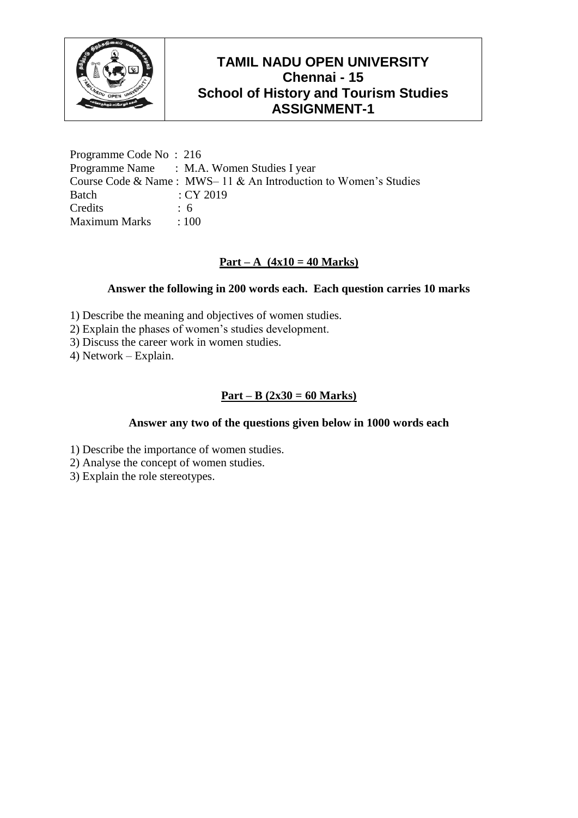

Programme Code No : 216 Programme Name : M.A. Women Studies I year Course Code & Name : MWS– 11 & An Introduction to Women's Studies Batch : CY 2019 Credits : 6 Maximum Marks : 100

## **Part – A (4x10 = 40 Marks)**

## **Answer the following in 200 words each. Each question carries 10 marks**

- 1) Describe the meaning and objectives of women studies.
- 2) Explain the phases of women's studies development.
- 3) Discuss the career work in women studies.
- 4) Network Explain.

## **Part – B (2x30 = 60 Marks)**

- 1) Describe the importance of women studies.
- 2) Analyse the concept of women studies.
- 3) Explain the role stereotypes.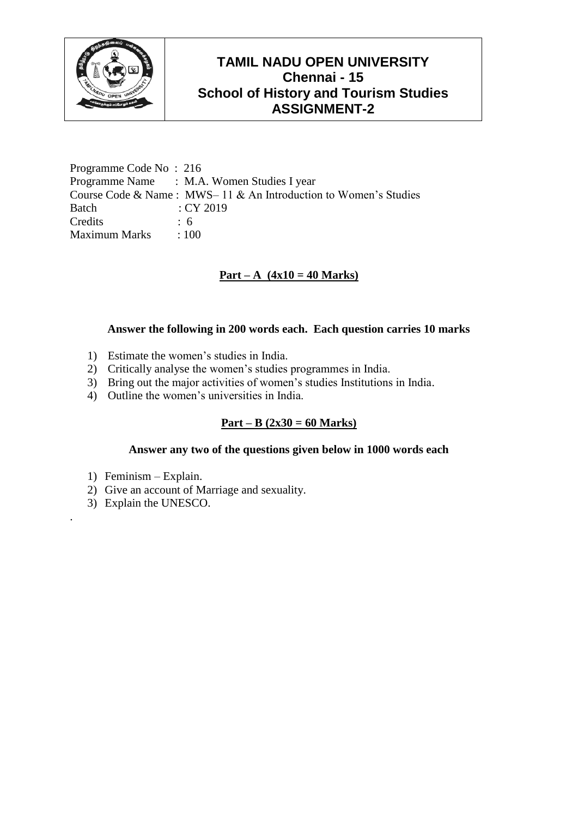

Programme Code No : 216 Programme Name : M.A. Women Studies I year Course Code & Name : MWS– 11 & An Introduction to Women's Studies Batch : CY 2019 Credits 6 Maximum Marks : 100

# **Part – A (4x10 = 40 Marks)**

#### **Answer the following in 200 words each. Each question carries 10 marks**

- 1) Estimate the women's studies in India.
- 2) Critically analyse the women's studies programmes in India.
- 3) Bring out the major activities of women's studies Institutions in India.
- 4) Outline the women's universities in India.

## **Part – B (2x30 = 60 Marks)**

#### **Answer any two of the questions given below in 1000 words each**

- 1) Feminism Explain.
- 2) Give an account of Marriage and sexuality.
- 3) Explain the UNESCO.

.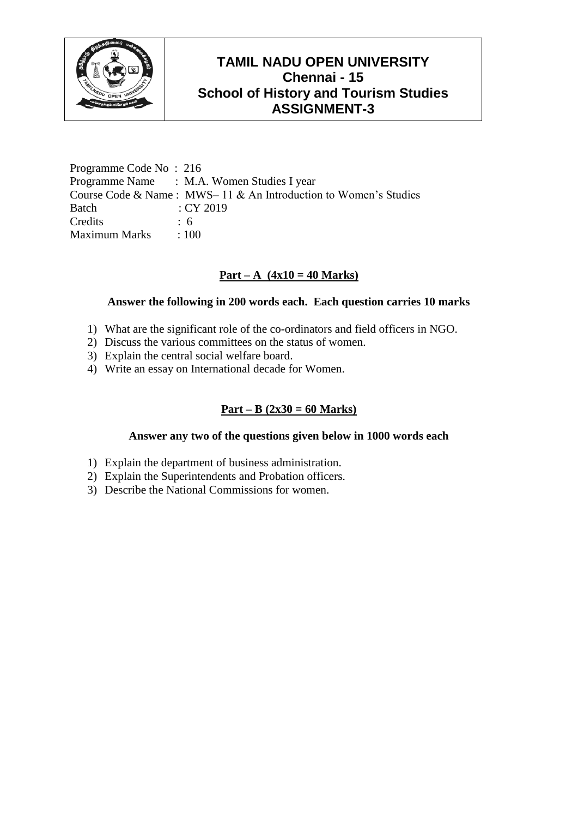

Programme Code No : 216 Programme Name : M.A. Women Studies I year Course Code & Name : MWS– 11 & An Introduction to Women's Studies Batch : CY 2019 Credits : 6 Maximum Marks : 100

# **Part – A (4x10 = 40 Marks)**

### **Answer the following in 200 words each. Each question carries 10 marks**

- 1) What are the significant role of the co-ordinators and field officers in NGO.
- 2) Discuss the various committees on the status of women.
- 3) Explain the central social welfare board.
- 4) Write an essay on International decade for Women.

## **Part – B (2x30 = 60 Marks)**

- 1) Explain the department of business administration.
- 2) Explain the Superintendents and Probation officers.
- 3) Describe the National Commissions for women.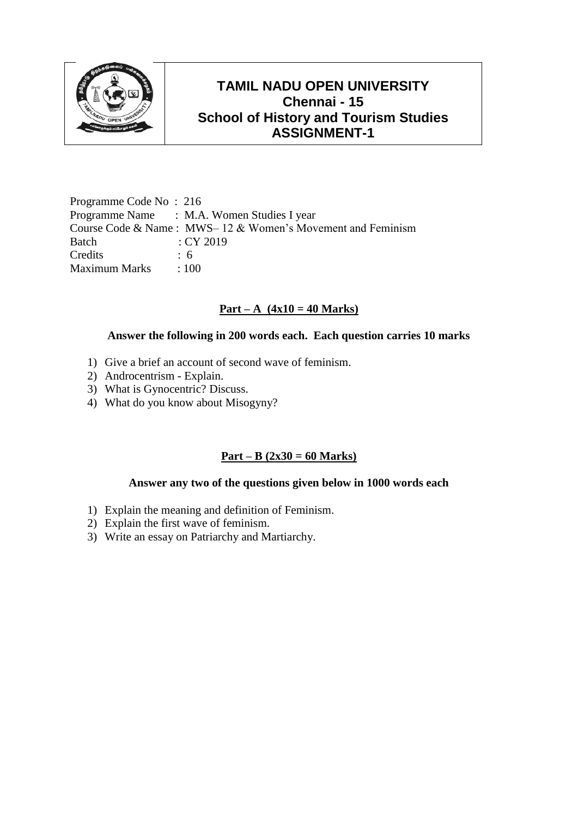

Programme Code No : 216 Programme Name : M.A. Women Studies I year Course Code & Name : MWS– 12 & Women's Movement and Feminism Batch : CY 2019 Credits : 6 Maximum Marks : 100

### **Part – A (4x10 = 40 Marks)**

#### **Answer the following in 200 words each. Each question carries 10 marks**

- 1) Give a brief an account of second wave of feminism.
- 2) Androcentrism Explain.
- 3) What is Gynocentric? Discuss.
- 4) What do you know about Misogyny?

### **Part – B (2x30 = 60 Marks)**

- 1) Explain the meaning and definition of Feminism.
- 2) Explain the first wave of feminism.
- 3) Write an essay on Patriarchy and Martiarchy.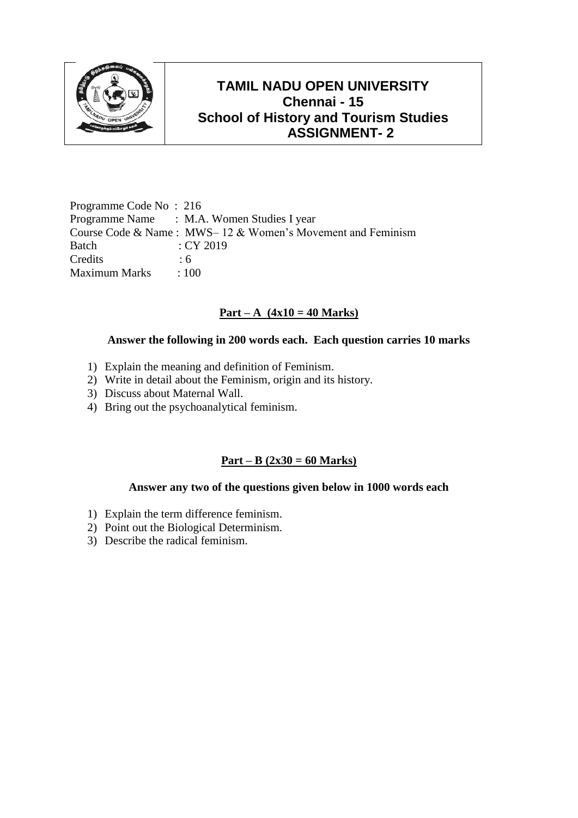

Programme Code No : 216 Programme Name : M.A. Women Studies I year Course Code & Name : MWS– 12 & Women's Movement and Feminism Batch : CY 2019 Credits : 6 Maximum Marks : 100

# **Part** – **A**  $(4x10 = 40$  Marks)

### **Answer the following in 200 words each. Each question carries 10 marks**

- 1) Explain the meaning and definition of Feminism.
- 2) Write in detail about the Feminism, origin and its history.
- 3) Discuss about Maternal Wall.
- 4) Bring out the psychoanalytical feminism.

## **Part – B (2x30 = 60 Marks)**

- 1) Explain the term difference feminism.
- 2) Point out the Biological Determinism.
- 3) Describe the radical feminism.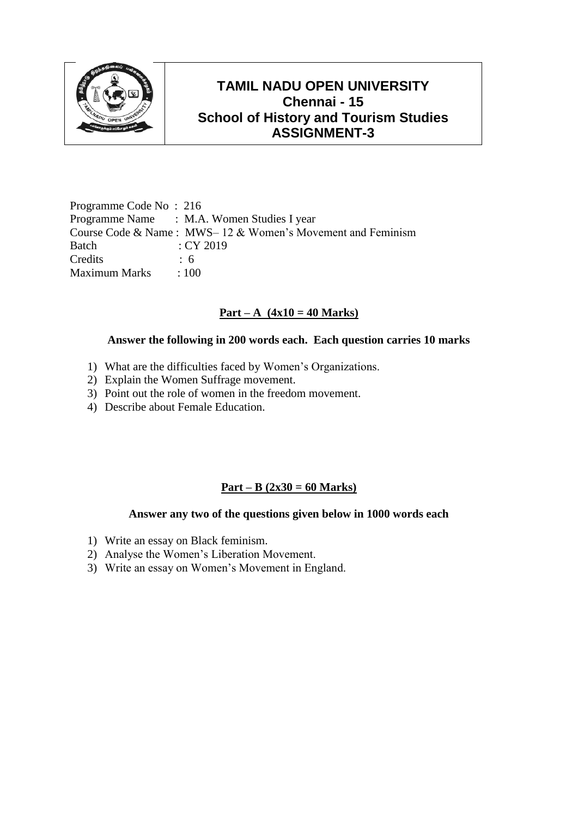

Programme Code No : 216 Programme Name : M.A. Women Studies I year Course Code & Name : MWS– 12 & Women's Movement and Feminism Batch : CY 2019 Credits : 6 Maximum Marks : 100

## **Part** – **A**  $(4x10 = 40$  Marks)

### **Answer the following in 200 words each. Each question carries 10 marks**

- 1) What are the difficulties faced by Women's Organizations.
- 2) Explain the Women Suffrage movement.
- 3) Point out the role of women in the freedom movement.
- 4) Describe about Female Education.

## **Part – B (2x30 = 60 Marks)**

- 1) Write an essay on Black feminism.
- 2) Analyse the Women's Liberation Movement.
- 3) Write an essay on Women's Movement in England.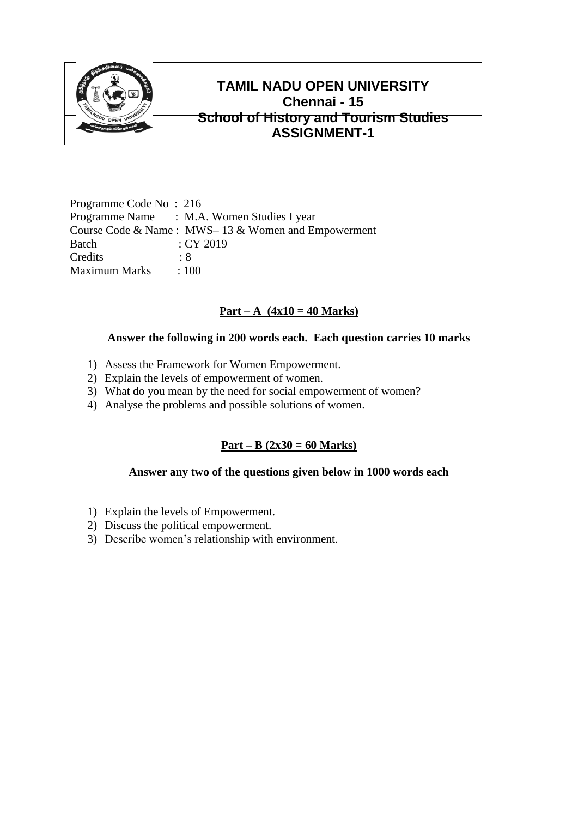

Programme Code No : 216 Programme Name : M.A. Women Studies I year Course Code & Name : MWS– 13 & Women and Empowerment Batch : CY 2019 Credits · 8 Maximum Marks : 100

## **Part – A (4x10 = 40 Marks)**

### **Answer the following in 200 words each. Each question carries 10 marks**

- 1) Assess the Framework for Women Empowerment.
- 2) Explain the levels of empowerment of women.
- 3) What do you mean by the need for social empowerment of women?
- 4) Analyse the problems and possible solutions of women.

## **Part – B (2x30 = 60 Marks)**

- 1) Explain the levels of Empowerment.
- 2) Discuss the political empowerment.
- 3) Describe women's relationship with environment.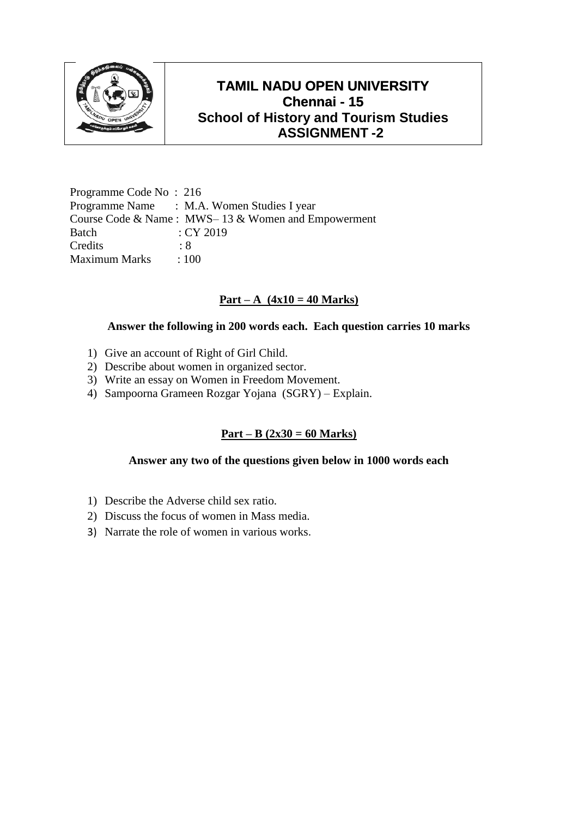

Programme Code No : 216 Programme Name : M.A. Women Studies I year Course Code & Name : MWS– 13 & Women and Empowerment Batch : CY 2019 Credits : 8 Maximum Marks : 100

### **Part – A (4x10 = 40 Marks)**

### **Answer the following in 200 words each. Each question carries 10 marks**

- 1) Give an account of Right of Girl Child.
- 2) Describe about women in organized sector.
- 3) Write an essay on Women in Freedom Movement.
- 4) Sampoorna Grameen Rozgar Yojana (SGRY) Explain.

## **Part – B (2x30 = 60 Marks)**

- 1) Describe the Adverse child sex ratio.
- 2) Discuss the focus of women in Mass media.
- 3) Narrate the role of women in various works.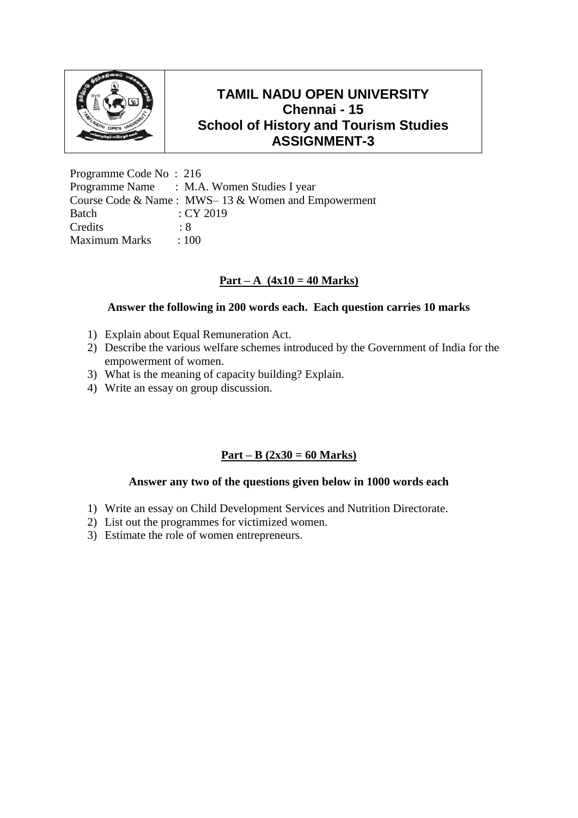

Programme Code No : 216 Programme Name : M.A. Women Studies I year Course Code & Name : MWS– 13 & Women and Empowerment Batch : CY 2019 Credits : 8 Maximum Marks : 100

# **Part – A (4x10 = 40 Marks)**

### **Answer the following in 200 words each. Each question carries 10 marks**

- 1) Explain about Equal Remuneration Act.
- 2) Describe the various welfare schemes introduced by the Government of India for the empowerment of women.
- 3) What is the meaning of capacity building? Explain.
- 4) Write an essay on group discussion.

## **Part – B (2x30 = 60 Marks)**

- 1) Write an essay on Child Development Services and Nutrition Directorate.
- 2) List out the programmes for victimized women.
- 3) Estimate the role of women entrepreneurs.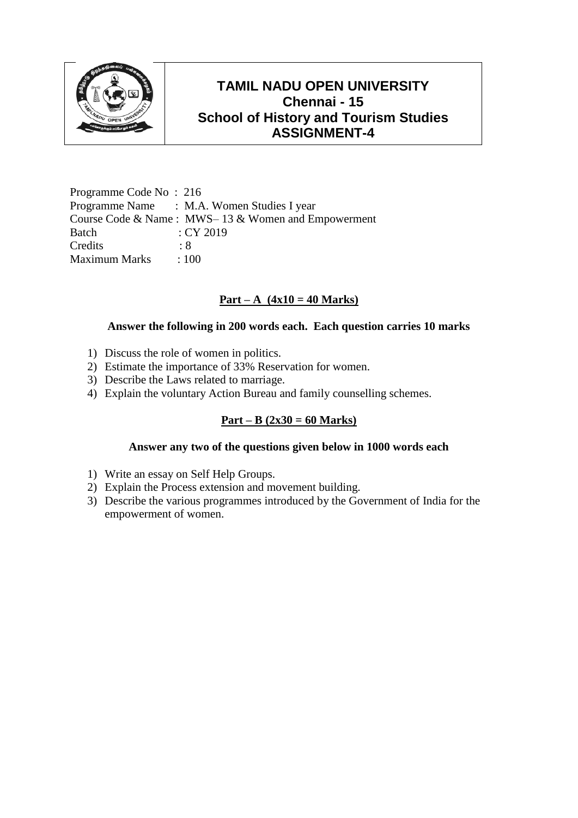

Programme Code No : 216 Programme Name : M.A. Women Studies I year Course Code & Name : MWS– 13 & Women and Empowerment Batch : CY 2019 Credits : 8 Maximum Marks : 100

## **Part – A (4x10 = 40 Marks)**

#### **Answer the following in 200 words each. Each question carries 10 marks**

- 1) Discuss the role of women in politics.
- 2) Estimate the importance of 33% Reservation for women.
- 3) Describe the Laws related to marriage.
- 4) Explain the voluntary Action Bureau and family counselling schemes.

### **Part – B (2x30 = 60 Marks)**

- 1) Write an essay on Self Help Groups.
- 2) Explain the Process extension and movement building.
- 3) Describe the various programmes introduced by the Government of India for the empowerment of women.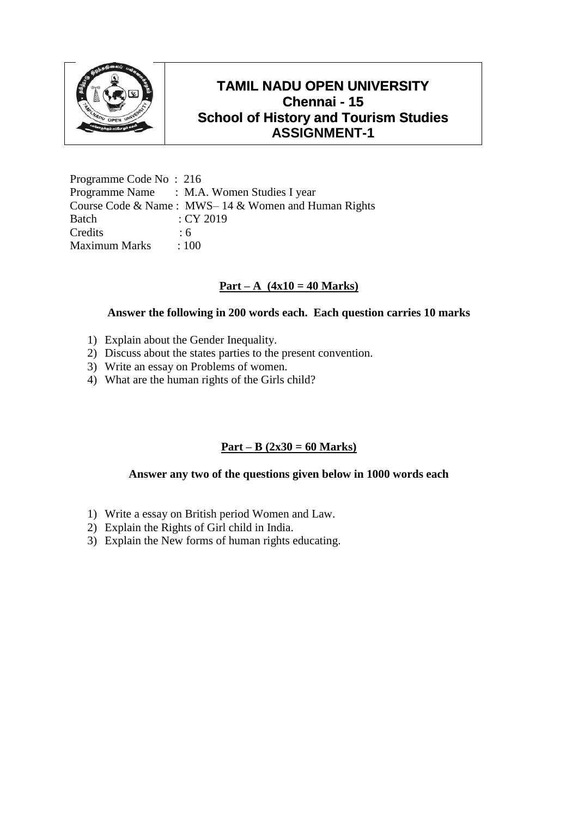

Programme Code No : 216 Programme Name : M.A. Women Studies I year Course Code & Name : MWS– 14 & Women and Human Rights Batch : CY 2019 Credits 6 Maximum Marks : 100

### **Part – A (4x10 = 40 Marks)**

#### **Answer the following in 200 words each. Each question carries 10 marks**

- 1) Explain about the Gender Inequality.
- 2) Discuss about the states parties to the present convention.
- 3) Write an essay on Problems of women.
- 4) What are the human rights of the Girls child?

## **Part – B (2x30 = 60 Marks)**

- 1) Write a essay on British period Women and Law.
- 2) Explain the Rights of Girl child in India.
- 3) Explain the New forms of human rights educating.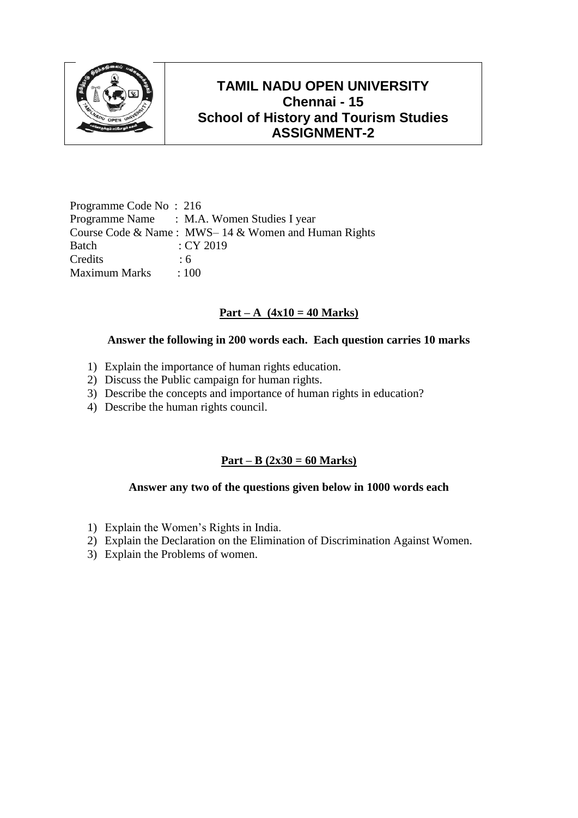

Programme Code No : 216 Programme Name : M.A. Women Studies I year Course Code & Name : MWS– 14 & Women and Human Rights Batch : CY 2019 Credits : 6 Maximum Marks : 100

# **Part** – **A**  $(4x10 = 40$  Marks)

### **Answer the following in 200 words each. Each question carries 10 marks**

- 1) Explain the importance of human rights education.
- 2) Discuss the Public campaign for human rights.
- 3) Describe the concepts and importance of human rights in education?
- 4) Describe the human rights council.

## **Part – B (2x30 = 60 Marks)**

- 1) Explain the Women's Rights in India.
- 2) Explain the Declaration on the Elimination of Discrimination Against Women.
- 3) Explain the Problems of women.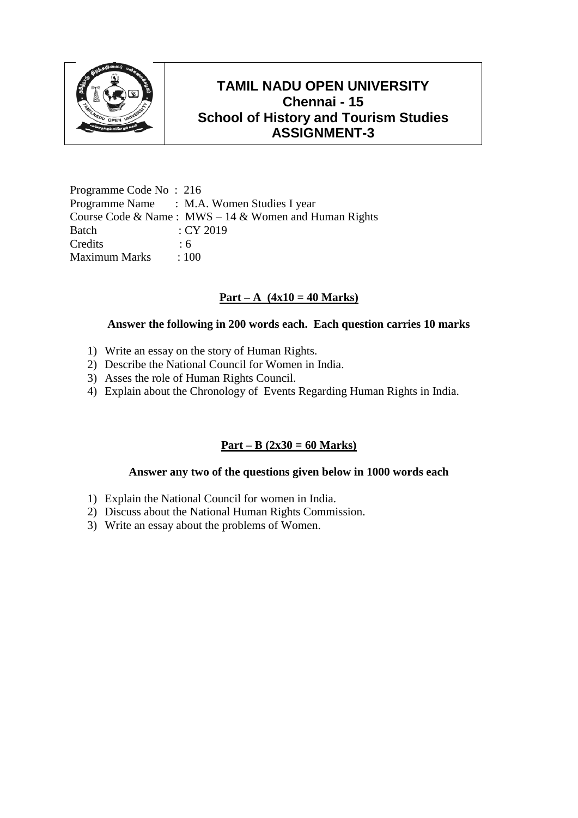

Programme Code No : 216 Programme Name : M.A. Women Studies I year Course Code & Name : MWS – 14 & Women and Human Rights Batch : CY 2019 Credits : 6 Maximum Marks : 100

## **Part – A (4x10 = 40 Marks)**

#### **Answer the following in 200 words each. Each question carries 10 marks**

- 1) Write an essay on the story of Human Rights.
- 2) Describe the National Council for Women in India.
- 3) Asses the role of Human Rights Council.
- 4) Explain about the Chronology of Events Regarding Human Rights in India.

### **Part – B (2x30 = 60 Marks)**

- 1) Explain the National Council for women in India.
- 2) Discuss about the National Human Rights Commission.
- 3) Write an essay about the problems of Women.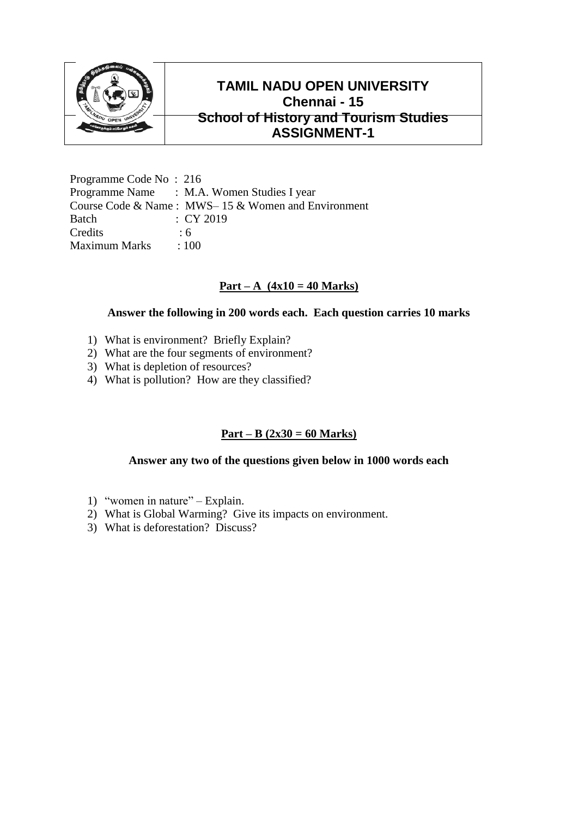

Programme Code No : 216 Programme Name : M.A. Women Studies I year Course Code & Name : MWS– 15 & Women and Environment Batch : CY 2019 Credits 6 Maximum Marks : 100

### **Part – A (4x10 = 40 Marks)**

#### **Answer the following in 200 words each. Each question carries 10 marks**

- 1) What is environment? Briefly Explain?
- 2) What are the four segments of environment?
- 3) What is depletion of resources?
- 4) What is pollution? How are they classified?

### **Part – B (2x30 = 60 Marks)**

- 1) "women in nature" Explain.
- 2) What is Global Warming? Give its impacts on environment.
- 3) What is deforestation? Discuss?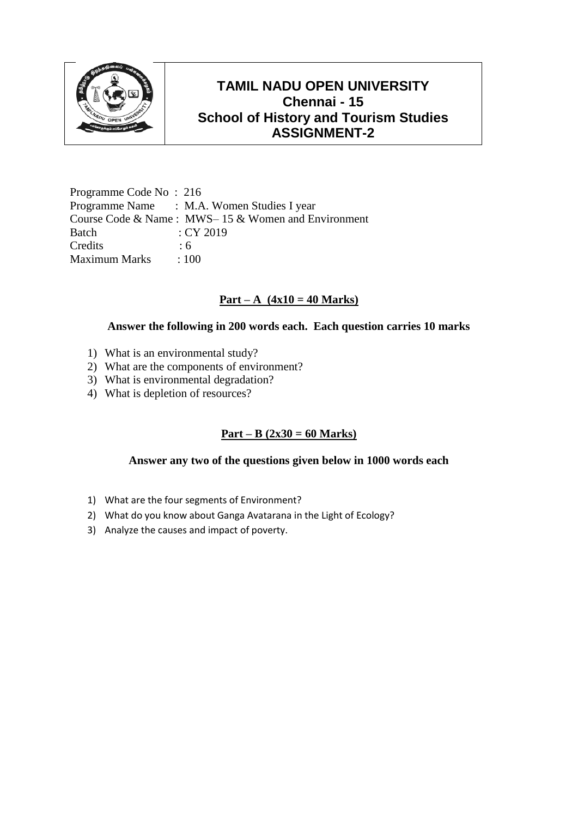

Programme Code No : 216 Programme Name : M.A. Women Studies I year Course Code & Name : MWS– 15 & Women and Environment Batch : CY 2019 Credits : 6 Maximum Marks : 100

### $Part - A (4x10 = 40 Marks)$

#### **Answer the following in 200 words each. Each question carries 10 marks**

- 1) What is an environmental study?
- 2) What are the components of environment?
- 3) What is environmental degradation?
- 4) What is depletion of resources?

## **Part – B (2x30 = 60 Marks)**

- 1) What are the four segments of Environment?
- 2) What do you know about Ganga Avatarana in the Light of Ecology?
- 3) Analyze the causes and impact of poverty.